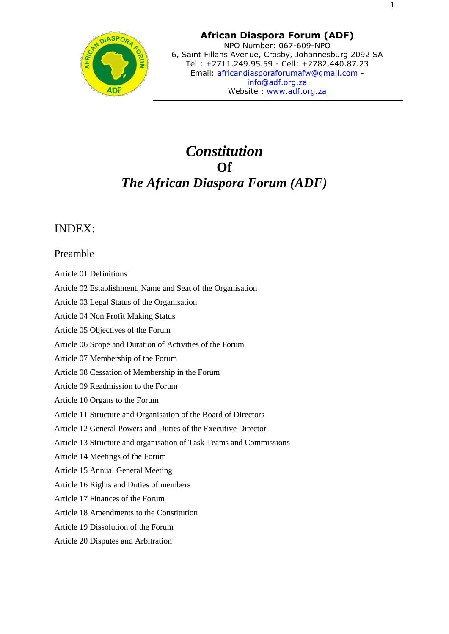

# *Constitution* **Of** *The African Diaspora Forum (ADF)*

## INDEX:

## Preamble

- Article 01 Definitions
- Article 02 Establishment, Name and Seat of the Organisation
- Article 03 Legal Status of the Organisation
- Article 04 Non Profit Making Status
- Article 05 Objectives of the Forum
- Article 06 Scope and Duration of Activities of the Forum
- Article 07 Membership of the Forum
- Article 08 Cessation of Membership in the Forum
- Article 09 Readmission to the Forum
- Article 10 Organs to the Forum
- Article 11 Structure and Organisation of the Board of Directors
- Article 12 General Powers and Duties of the Executive Director
- Article 13 Structure and organisation of Task Teams and Commissions
- Article 14 Meetings of the Forum
- Article 15 Annual General Meeting
- Article 16 Rights and Duties of members
- Article 17 Finances of the Forum
- Article 18 Amendments to the Constitution
- Article 19 Dissolution of the Forum
- Article 20 Disputes and Arbitration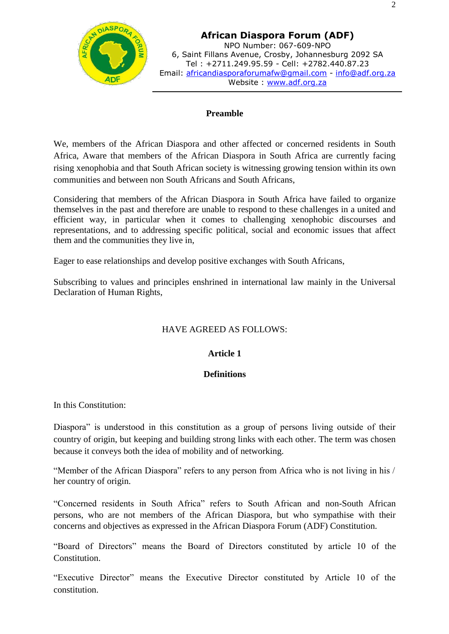

## **Preamble**

We, members of the African Diaspora and other affected or concerned residents in South Africa, Aware that members of the African Diaspora in South Africa are currently facing rising xenophobia and that South African society is witnessing growing tension within its own communities and between non South Africans and South Africans,

Considering that members of the African Diaspora in South Africa have failed to organize themselves in the past and therefore are unable to respond to these challenges in a united and efficient way, in particular when it comes to challenging xenophobic discourses and representations, and to addressing specific political, social and economic issues that affect them and the communities they live in,

Eager to ease relationships and develop positive exchanges with South Africans,

Subscribing to values and principles enshrined in international law mainly in the Universal Declaration of Human Rights,

## HAVE AGREED AS FOLLOWS:

## **Article 1**

## **Definitions**

In this Constitution:

Diaspora" is understood in this constitution as a group of persons living outside of their country of origin, but keeping and building strong links with each other. The term was chosen because it conveys both the idea of mobility and of networking.

"Member of the African Diaspora" refers to any person from Africa who is not living in his / her country of origin.

"Concerned residents in South Africa" refers to South African and non-South African persons, who are not members of the African Diaspora, but who sympathise with their concerns and objectives as expressed in the African Diaspora Forum (ADF) Constitution.

"Board of Directors" means the Board of Directors constituted by article 10 of the Constitution.

"Executive Director" means the Executive Director constituted by Article 10 of the constitution.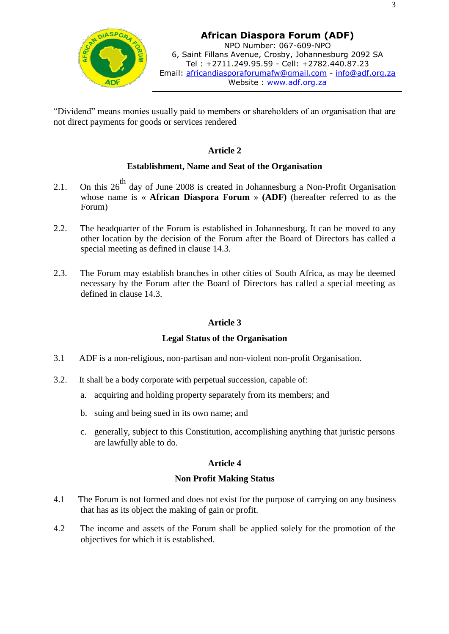

"Dividend" means monies usually paid to members or shareholders of an organisation that are not direct payments for goods or services rendered

## **Article 2**

#### **Establishment, Name and Seat of the Organisation**

- 2.1. On this  $26<sup>th</sup>$  day of June 2008 is created in Johannesburg a Non-Profit Organisation whose name is « **African Diaspora Forum** » **(ADF)** (hereafter referred to as the Forum)
- 2.2. The headquarter of the Forum is established in Johannesburg. It can be moved to any other location by the decision of the Forum after the Board of Directors has called a special meeting as defined in clause 14.3.
- 2.3. The Forum may establish branches in other cities of South Africa, as may be deemed necessary by the Forum after the Board of Directors has called a special meeting as defined in clause 14.3.

## **Article 3**

## **Legal Status of the Organisation**

- 3.1 ADF is a non-religious, non-partisan and non-violent non-profit Organisation.
- 3.2. It shall be a body corporate with perpetual succession, capable of:
	- a. acquiring and holding property separately from its members; and
	- b. suing and being sued in its own name; and
	- c. generally, subject to this Constitution, accomplishing anything that juristic persons are lawfully able to do.

## **Article 4**

#### **Non Profit Making Status**

- 4.1 The Forum is not formed and does not exist for the purpose of carrying on any business that has as its object the making of gain or profit.
- 4.2 The income and assets of the Forum shall be applied solely for the promotion of the objectives for which it is established.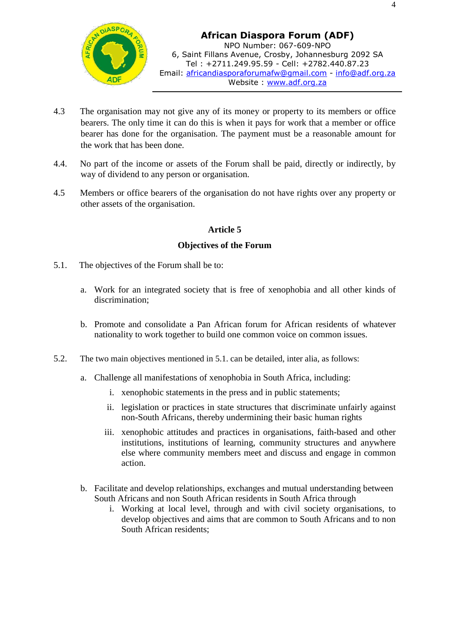

- 4.3 The organisation may not give any of its money or property to its members or office bearers. The only time it can do this is when it pays for work that a member or office bearer has done for the organisation. The payment must be a reasonable amount for the work that has been done.
- 4.4. No part of the income or assets of the Forum shall be paid, directly or indirectly, by way of dividend to any person or organisation.
- 4.5 Members or office bearers of the organisation do not have rights over any property or other assets of the organisation.

## **Article 5**

#### **Objectives of the Forum**

- 5.1. The objectives of the Forum shall be to:
	- a. Work for an integrated society that is free of xenophobia and all other kinds of discrimination;
	- b. Promote and consolidate a Pan African forum for African residents of whatever nationality to work together to build one common voice on common issues.
- 5.2. The two main objectives mentioned in 5.1. can be detailed, inter alia, as follows:
	- a. Challenge all manifestations of xenophobia in South Africa, including:
		- i. xenophobic statements in the press and in public statements;
		- ii. legislation or practices in state structures that discriminate unfairly against non-South Africans, thereby undermining their basic human rights
		- iii. xenophobic attitudes and practices in organisations, faith-based and other institutions, institutions of learning, community structures and anywhere else where community members meet and discuss and engage in common action.
	- b. Facilitate and develop relationships, exchanges and mutual understanding between South Africans and non South African residents in South Africa through
		- i. Working at local level, through and with civil society organisations, to develop objectives and aims that are common to South Africans and to non South African residents;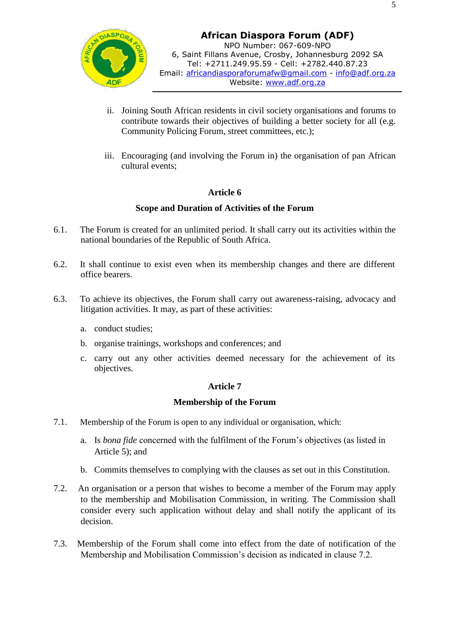

- ii. Joining South African residents in civil society organisations and forums to contribute towards their objectives of building a better society for all (e.g. Community Policing Forum, street committees, etc.);
- iii. Encouraging (and involving the Forum in) the organisation of pan African cultural events;

## **Article 6**

#### **Scope and Duration of Activities of the Forum**

- 6.1. The Forum is created for an unlimited period. It shall carry out its activities within the national boundaries of the Republic of South Africa.
- 6.2. It shall continue to exist even when its membership changes and there are different office bearers.
- 6.3. To achieve its objectives, the Forum shall carry out awareness-raising, advocacy and litigation activities. It may, as part of these activities:
	- a. conduct studies;
	- b. organise trainings, workshops and conferences; and
	- c. carry out any other activities deemed necessary for the achievement of its objectives.

## **Article 7**

#### **Membership of the Forum**

- 7.1. Membership of the Forum is open to any individual or organisation, which:
	- a. Is *bona fide* concerned with the fulfilment of the Forum's objectives (as listed in Article 5); and
	- b. Commits themselves to complying with the clauses as set out in this Constitution.
- 7.2. An organisation or a person that wishes to become a member of the Forum may apply to the membership and Mobilisation Commission, in writing. The Commission shall consider every such application without delay and shall notify the applicant of its decision.
- 7.3. Membership of the Forum shall come into effect from the date of notification of the Membership and Mobilisation Commission's decision as indicated in clause 7.2.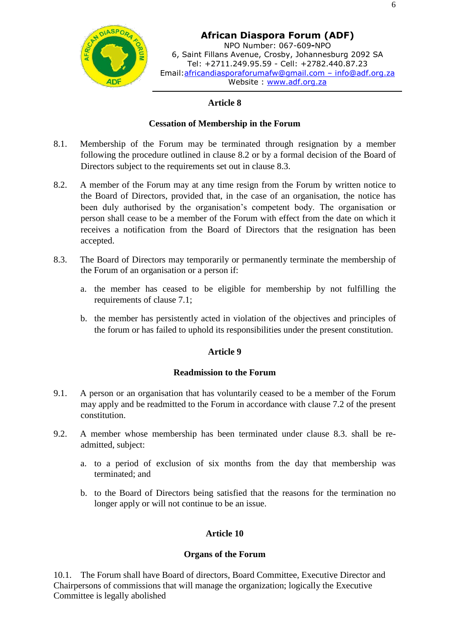

**African Diaspora Forum (ADF)** NPO Number: 067-609**-**NPO 6, Saint Fillans Avenue, Crosby, Johannesburg 2092 SA Tel: +2711.249.95.59 - Cell: +2782.440.87.23 Email:africandiasporaforumafw@gmail.com – info@adf.org.za Website : www.adf.org.za

## **Article 8**

#### **Cessation of Membership in the Forum**

- 8.1. Membership of the Forum may be terminated through resignation by a member following the procedure outlined in clause 8.2 or by a formal decision of the Board of Directors subject to the requirements set out in clause 8.3.
- 8.2. A member of the Forum may at any time resign from the Forum by written notice to the Board of Directors, provided that, in the case of an organisation, the notice has been duly authorised by the organisation's competent body. The organisation or person shall cease to be a member of the Forum with effect from the date on which it receives a notification from the Board of Directors that the resignation has been accepted.
- 8.3. The Board of Directors may temporarily or permanently terminate the membership of the Forum of an organisation or a person if:
	- a. the member has ceased to be eligible for membership by not fulfilling the requirements of clause 7.1;
	- b. the member has persistently acted in violation of the objectives and principles of the forum or has failed to uphold its responsibilities under the present constitution.

#### **Article 9**

#### **Readmission to the Forum**

- 9.1. A person or an organisation that has voluntarily ceased to be a member of the Forum may apply and be readmitted to the Forum in accordance with clause 7.2 of the present constitution.
- 9.2. A member whose membership has been terminated under clause 8.3. shall be readmitted, subject:
	- a. to a period of exclusion of six months from the day that membership was terminated; and
	- b. to the Board of Directors being satisfied that the reasons for the termination no longer apply or will not continue to be an issue.

#### **Article 10**

#### **Organs of the Forum**

10.1. The Forum shall have Board of directors, Board Committee, Executive Director and Chairpersons of commissions that will manage the organization; logically the Executive Committee is legally abolished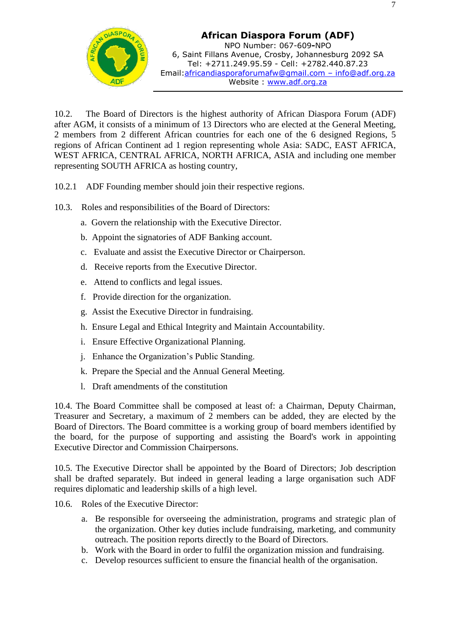

10.2. The Board of Directors is the highest authority of African Diaspora Forum (ADF) after AGM, it consists of a minimum of 13 Directors who are elected at the General Meeting, 2 members from 2 different African countries for each one of the 6 designed Regions, 5 regions of African Continent ad 1 region representing whole Asia: SADC, EAST AFRICA, WEST AFRICA, CENTRAL AFRICA, NORTH AFRICA, ASIA and including one member representing SOUTH AFRICA as hosting country,

- 10.2.1 ADF Founding member should join their respective regions.
- 10.3. Roles and responsibilities of the Board of Directors:
	- a. Govern the relationship with the Executive Director.
	- b. Appoint the signatories of ADF Banking account.
	- c. Evaluate and assist the Executive Director or Chairperson.
	- d. Receive reports from the Executive Director.
	- e. Attend to conflicts and legal issues.
	- f. Provide direction for the organization.
	- g. Assist the Executive Director in fundraising.
	- h. Ensure Legal and Ethical Integrity and Maintain Accountability.
	- i. Ensure Effective Organizational Planning.
	- j. Enhance the Organization's Public Standing.
	- k. Prepare the Special and the Annual General Meeting.
	- l. Draft amendments of the constitution

10.4. The Board Committee shall be composed at least of: a Chairman, Deputy Chairman, Treasurer and Secretary, a maximum of 2 members can be added, they are elected by the Board of Directors. The Board committee is a working group of board members identified by the board, for the purpose of supporting and assisting the Board's work in appointing Executive Director and Commission Chairpersons.

10.5. The Executive Director shall be appointed by the Board of Directors; Job description shall be drafted separately. But indeed in general leading a large organisation such ADF requires diplomatic and leadership skills of a high level.

- 10.6. Roles of the Executive Director:
	- a. Be responsible for overseeing the administration, programs and strategic plan of the organization. Other key duties include fundraising, marketing, and community outreach. The position reports directly to the Board of Directors.
	- b. Work with the Board in order to fulfil the organization mission and fundraising.
	- c. Develop resources sufficient to ensure the financial health of the organisation.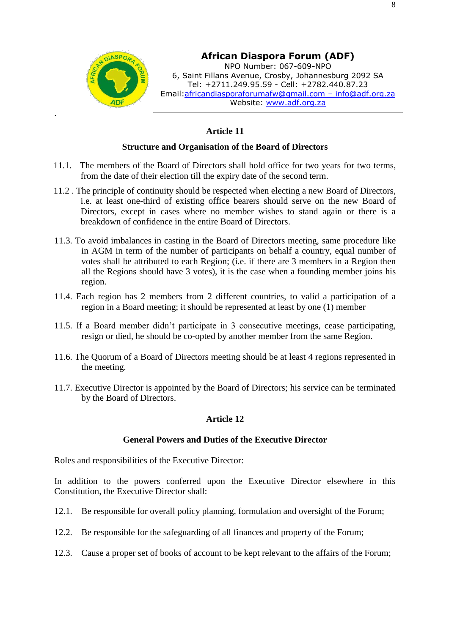

.

## **African Diaspora Forum (ADF)**

NPO Number: 067-609**-**NPO 6, Saint Fillans Avenue, Crosby, Johannesburg 2092 SA Tel: +2711.249.95.59 - Cell: +2782.440.87.23 Email:africandiasporaforumafw@gmail.com – [info@adf.org.za](mailto:info@adf.org.za) Website: www.adf.org.za

### **Article 11**

#### **Structure and Organisation of the Board of Directors**

- 11.1. The members of the Board of Directors shall hold office for two years for two terms, from the date of their election till the expiry date of the second term.
- 11.2 . The principle of continuity should be respected when electing a new Board of Directors, i.e. at least one-third of existing office bearers should serve on the new Board of Directors, except in cases where no member wishes to stand again or there is a breakdown of confidence in the entire Board of Directors.
- 11.3. To avoid imbalances in casting in the Board of Directors meeting, same procedure like in AGM in term of the number of participants on behalf a country, equal number of votes shall be attributed to each Region; (i.e. if there are 3 members in a Region then all the Regions should have 3 votes), it is the case when a founding member joins his region.
- 11.4. Each region has 2 members from 2 different countries, to valid a participation of a region in a Board meeting; it should be represented at least by one (1) member
- 11.5. If a Board member didn't participate in 3 consecutive meetings, cease participating, resign or died, he should be co-opted by another member from the same Region.
- 11.6. The Quorum of a Board of Directors meeting should be at least 4 regions represented in the meeting.
- 11.7. Executive Director is appointed by the Board of Directors; his service can be terminated by the Board of Directors.

#### **Article 12**

#### **General Powers and Duties of the Executive Director**

Roles and responsibilities of the Executive Director:

In addition to the powers conferred upon the Executive Director elsewhere in this Constitution, the Executive Director shall:

- 12.1. Be responsible for overall policy planning, formulation and oversight of the Forum;
- 12.2. Be responsible for the safeguarding of all finances and property of the Forum;
- 12.3. Cause a proper set of books of account to be kept relevant to the affairs of the Forum;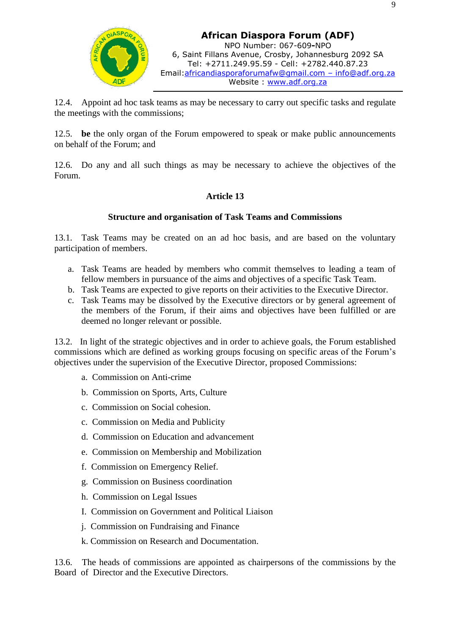

12.4. Appoint ad hoc task teams as may be necessary to carry out specific tasks and regulate the meetings with the commissions;

12.5. **be** the only organ of the Forum empowered to speak or make public announcements on behalf of the Forum; and

12.6. Do any and all such things as may be necessary to achieve the objectives of the Forum.

## **Article 13**

## **Structure and organisation of Task Teams and Commissions**

13.1. Task Teams may be created on an ad hoc basis, and are based on the voluntary participation of members.

- a. Task Teams are headed by members who commit themselves to leading a team of fellow members in pursuance of the aims and objectives of a specific Task Team.
- b. Task Teams are expected to give reports on their activities to the Executive Director.
- c. Task Teams may be dissolved by the Executive directors or by general agreement of the members of the Forum, if their aims and objectives have been fulfilled or are deemed no longer relevant or possible.

13.2. In light of the strategic objectives and in order to achieve goals, the Forum established commissions which are defined as working groups focusing on specific areas of the Forum's objectives under the supervision of the Executive Director, proposed Commissions:

- a. Commission on Anti-crime
- b. Commission on Sports, Arts, Culture
- c. Commission on Social cohesion.
- c. Commission on Media and Publicity
- d. Commission on Education and advancement
- e. Commission on Membership and Mobilization
- f. Commission on Emergency Relief.
- g. Commission on Business coordination
- h. Commission on Legal Issues
- I. Commission on Government and Political Liaison
- j. Commission on Fundraising and Finance
- k. Commission on Research and Documentation.

13.6. The heads of commissions are appointed as chairpersons of the commissions by the Board of Director and the Executive Directors.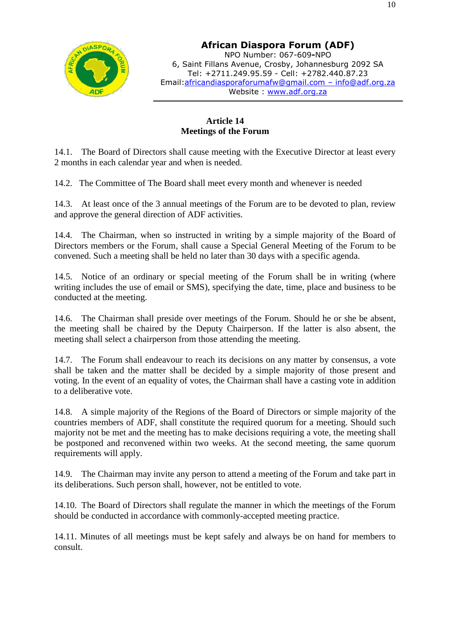

**African Diaspora Forum (ADF)** NPO Number: 067-609**-**NPO 6, Saint Fillans Avenue, Crosby, Johannesburg 2092 SA Tel: +2711.249.95.59 - Cell: +2782.440.87.23 Email:africandiasporaforumafw@gmail.com – info@adf.org.za Website : www.adf.org.za

## **Article 14 Meetings of the Forum**

14.1. The Board of Directors shall cause meeting with the Executive Director at least every 2 months in each calendar year and when is needed.

14.2. The Committee of The Board shall meet every month and whenever is needed

14.3. At least once of the 3 annual meetings of the Forum are to be devoted to plan, review and approve the general direction of ADF activities.

14.4. The Chairman, when so instructed in writing by a simple majority of the Board of Directors members or the Forum, shall cause a Special General Meeting of the Forum to be convened. Such a meeting shall be held no later than 30 days with a specific agenda.

14.5. Notice of an ordinary or special meeting of the Forum shall be in writing (where writing includes the use of email or SMS), specifying the date, time, place and business to be conducted at the meeting.

14.6. The Chairman shall preside over meetings of the Forum. Should he or she be absent, the meeting shall be chaired by the Deputy Chairperson. If the latter is also absent, the meeting shall select a chairperson from those attending the meeting.

14.7. The Forum shall endeavour to reach its decisions on any matter by consensus, a vote shall be taken and the matter shall be decided by a simple majority of those present and voting. In the event of an equality of votes, the Chairman shall have a casting vote in addition to a deliberative vote.

14.8. A simple majority of the Regions of the Board of Directors or simple majority of the countries members of ADF, shall constitute the required quorum for a meeting. Should such majority not be met and the meeting has to make decisions requiring a vote, the meeting shall be postponed and reconvened within two weeks. At the second meeting, the same quorum requirements will apply.

14.9. The Chairman may invite any person to attend a meeting of the Forum and take part in its deliberations. Such person shall, however, not be entitled to vote.

14.10. The Board of Directors shall regulate the manner in which the meetings of the Forum should be conducted in accordance with commonly-accepted meeting practice.

14.11. Minutes of all meetings must be kept safely and always be on hand for members to consult.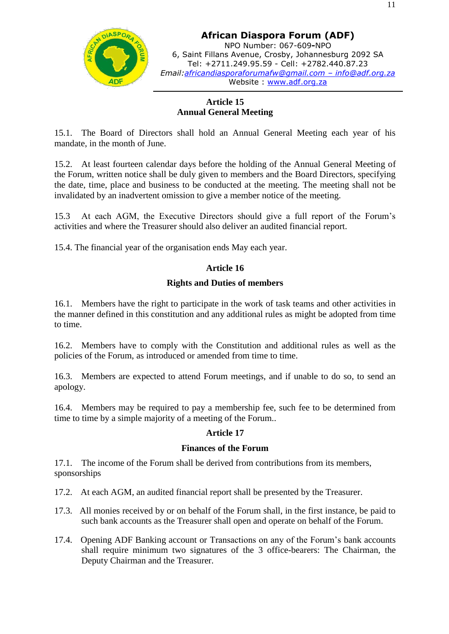

**African Diaspora Forum (ADF)** NPO Number: 067-609**-**NPO 6, Saint Fillans Avenue, Crosby, Johannesburg 2092 SA Tel: +2711.249.95.59 - Cell: +2782.440.87.23 *Email:africandiasporaforumafw@gmail.com – info@adf.org.za* Website : www.adf.org.za

## **Article 15 Annual General Meeting**

15.1. The Board of Directors shall hold an Annual General Meeting each year of his mandate, in the month of June.

15.2. At least fourteen calendar days before the holding of the Annual General Meeting of the Forum, written notice shall be duly given to members and the Board Directors, specifying the date, time, place and business to be conducted at the meeting. The meeting shall not be invalidated by an inadvertent omission to give a member notice of the meeting.

15.3 At each AGM, the Executive Directors should give a full report of the Forum's activities and where the Treasurer should also deliver an audited financial report.

15.4. The financial year of the organisation ends May each year.

## **Article 16**

#### **Rights and Duties of members**

16.1. Members have the right to participate in the work of task teams and other activities in the manner defined in this constitution and any additional rules as might be adopted from time to time.

16.2. Members have to comply with the Constitution and additional rules as well as the policies of the Forum, as introduced or amended from time to time.

16.3. Members are expected to attend Forum meetings, and if unable to do so, to send an apology.

16.4. Members may be required to pay a membership fee, such fee to be determined from time to time by a simple majority of a meeting of the Forum..

#### **Article 17**

#### **Finances of the Forum**

17.1. The income of the Forum shall be derived from contributions from its members, sponsorships

- 17.2. At each AGM, an audited financial report shall be presented by the Treasurer.
- 17.3. All monies received by or on behalf of the Forum shall, in the first instance, be paid to such bank accounts as the Treasurer shall open and operate on behalf of the Forum.
- 17.4. Opening ADF Banking account or Transactions on any of the Forum's bank accounts shall require minimum two signatures of the 3 office-bearers: The Chairman, the Deputy Chairman and the Treasurer.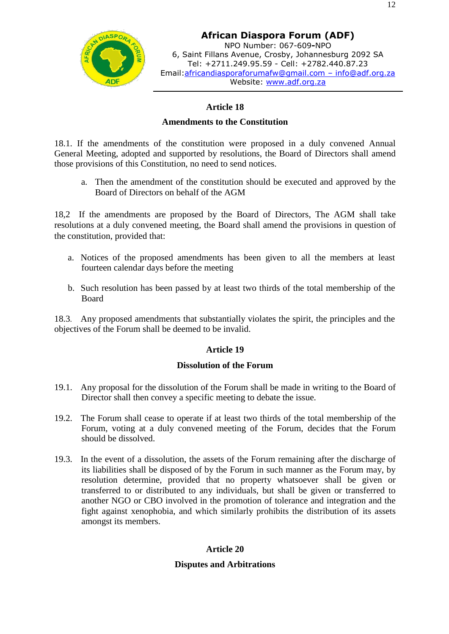

**African Diaspora Forum (ADF)** NPO Number: 067-609**-**NPO 6, Saint Fillans Avenue, Crosby, Johannesburg 2092 SA Tel: +2711.249.95.59 - Cell: +2782.440.87.23 Email:africandiasporaforumafw@gmail.com – info@adf.org.za Website: www.adf.org.za

## **Article 18**

#### **Amendments to the Constitution**

18.1. If the amendments of the constitution were proposed in a duly convened Annual General Meeting, adopted and supported by resolutions, the Board of Directors shall amend those provisions of this Constitution, no need to send notices.

a. Then the amendment of the constitution should be executed and approved by the Board of Directors on behalf of the AGM

18,2 If the amendments are proposed by the Board of Directors, The AGM shall take resolutions at a duly convened meeting, the Board shall amend the provisions in question of the constitution, provided that:

- a. Notices of the proposed amendments has been given to all the members at least fourteen calendar days before the meeting
- b. Such resolution has been passed by at least two thirds of the total membership of the Board

18.3. Any proposed amendments that substantially violates the spirit, the principles and the objectives of the Forum shall be deemed to be invalid.

## **Article 19**

#### **Dissolution of the Forum**

- 19.1. Any proposal for the dissolution of the Forum shall be made in writing to the Board of Director shall then convey a specific meeting to debate the issue.
- 19.2. The Forum shall cease to operate if at least two thirds of the total membership of the Forum, voting at a duly convened meeting of the Forum, decides that the Forum should be dissolved.
- 19.3. In the event of a dissolution, the assets of the Forum remaining after the discharge of its liabilities shall be disposed of by the Forum in such manner as the Forum may, by resolution determine, provided that no property whatsoever shall be given or transferred to or distributed to any individuals, but shall be given or transferred to another NGO or CBO involved in the promotion of tolerance and integration and the fight against xenophobia, and which similarly prohibits the distribution of its assets amongst its members.

## **Article 20**

#### **Disputes and Arbitrations**